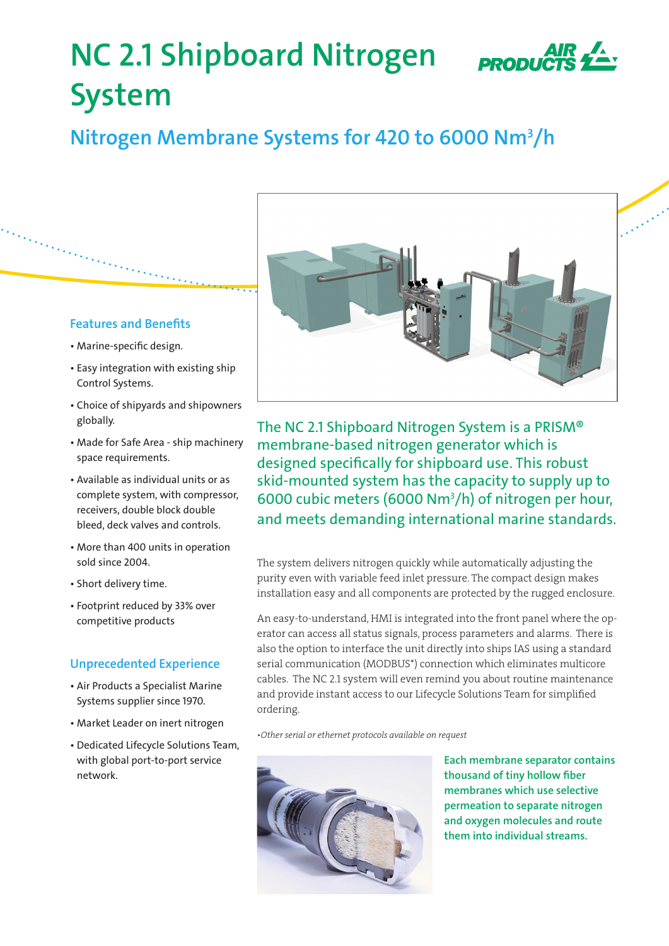# **NC 2.1 Shipboard Nitrogen System**

# **Nitrogen Membrane Systems for 420 to 6000 Nm3 /h**

## **Features and Benefits**

- Marine-specific design.
- Easy integration with existing ship Control Systems.
- Choice of shipyards and shipowners globally.
- Made for Safe Area ship machinery space requirements.
- Available as individual units or as complete system, with compressor, receivers, double block double bleed, deck valves and controls.
- More than 400 units in operation sold since 2004.
- Short delivery time.
- Footprint reduced by 33% over competitive products

# **Unprecedented Experience**

- Air Products a Specialist Marine Systems supplier since 1970.
- Market Leader on inert nitrogen
- Dedicated Lifecycle Solutions Team, with global port-to-port service network.



The NC 2.1 Shipboard Nitrogen System is a PRISM® membrane-based nitrogen generator which is designed specifically for shipboard use. This robust skid-mounted system has the capacity to supply up to 6000 cubic meters (6000 Nm3 /h) of nitrogen per hour, and meets demanding international marine standards.

The system delivers nitrogen quickly while automatically adjusting the purity even with variable feed inlet pressure. The compact design makes installation easy and all components are protected by the rugged enclosure.

An easy-to-understand, HMI is integrated into the front panel where the operator can access all status signals, process parameters and alarms. There is also the option to interface the unit directly into ships IAS using a standard serial communication (MODBUS\*) connection which eliminates multicore cables. The NC 2.1 system will even remind you about routine maintenance and provide instant access to our Lifecycle Solutions Team for simplified ordering.

*•Other serial or ethernet protocols available on request*



**Each membrane separator contains thousand of tiny hollow fiber membranes which use selective permeation to separate nitrogen and oxygen molecules and route them into individual streams.**